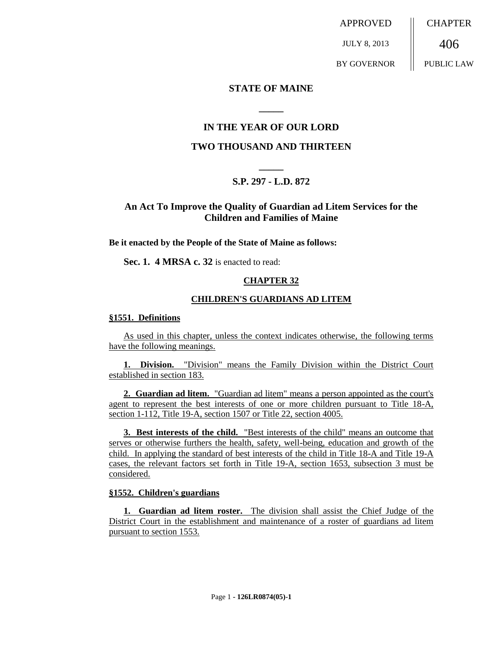APPROVED

JULY 8, 2013

BY GOVERNOR

**CHAPTER** 

406 PUBLIC LAW

### **STATE OF MAINE**

# **IN THE YEAR OF OUR LORD**

**\_\_\_\_\_**

### **TWO THOUSAND AND THIRTEEN**

# **\_\_\_\_\_ S.P. 297 - L.D. 872**

# **An Act To Improve the Quality of Guardian ad Litem Services for the Children and Families of Maine**

**Be it enacted by the People of the State of Maine as follows:**

**Sec. 1. 4 MRSA c. 32** is enacted to read:

### **CHAPTER 32**

### **CHILDREN'S GUARDIANS AD LITEM**

#### **§1551. Definitions**

As used in this chapter, unless the context indicates otherwise, the following terms have the following meanings.

**1. Division.** "Division" means the Family Division within the District Court established in section 183.

**2. Guardian ad litem.** "Guardian ad litem" means a person appointed as the court's agent to represent the best interests of one or more children pursuant to Title 18-A, section 1-112, Title 19-A, section 1507 or Title 22, section 4005.

**3. Best interests of the child.** "Best interests of the child" means an outcome that serves or otherwise furthers the health, safety, well-being, education and growth of the child. In applying the standard of best interests of the child in Title 18-A and Title 19-A cases, the relevant factors set forth in Title 19-A, section 1653, subsection 3 must be considered.

### **§1552. Children's guardians**

**1. Guardian ad litem roster.** The division shall assist the Chief Judge of the District Court in the establishment and maintenance of a roster of guardians ad litem pursuant to section 1553.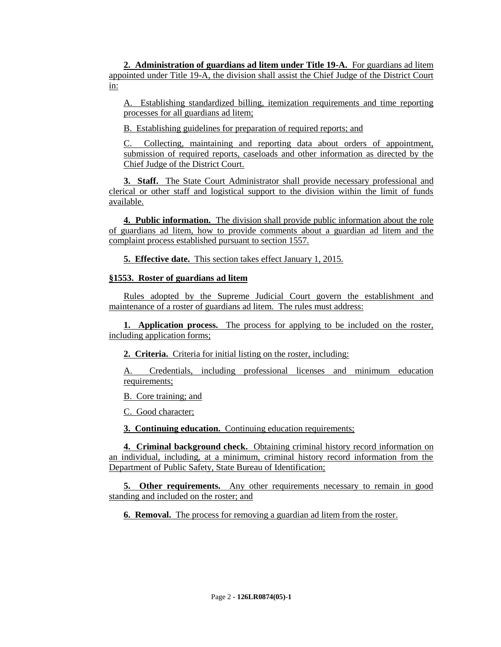**2. Administration of guardians ad litem under Title 19-A.** For guardians ad litem appointed under Title 19-A, the division shall assist the Chief Judge of the District Court in:

A. Establishing standardized billing, itemization requirements and time reporting processes for all guardians ad litem;

B. Establishing guidelines for preparation of required reports; and

C. Collecting, maintaining and reporting data about orders of appointment, submission of required reports, caseloads and other information as directed by the Chief Judge of the District Court.

**3. Staff.** The State Court Administrator shall provide necessary professional and clerical or other staff and logistical support to the division within the limit of funds available.

**4. Public information.** The division shall provide public information about the role of guardians ad litem, how to provide comments about a guardian ad litem and the complaint process established pursuant to section 1557.

**5. Effective date.** This section takes effect January 1, 2015.

### **§1553. Roster of guardians ad litem**

Rules adopted by the Supreme Judicial Court govern the establishment and maintenance of a roster of guardians ad litem. The rules must address:

**1. Application process.** The process for applying to be included on the roster, including application forms;

**2. Criteria.** Criteria for initial listing on the roster, including:

A. Credentials, including professional licenses and minimum education requirements;

B. Core training; and

C. Good character;

**3. Continuing education.** Continuing education requirements;

**4. Criminal background check.** Obtaining criminal history record information on an individual, including, at a minimum, criminal history record information from the Department of Public Safety, State Bureau of Identification;

**5. Other requirements.** Any other requirements necessary to remain in good standing and included on the roster; and

**6. Removal.** The process for removing a guardian ad litem from the roster.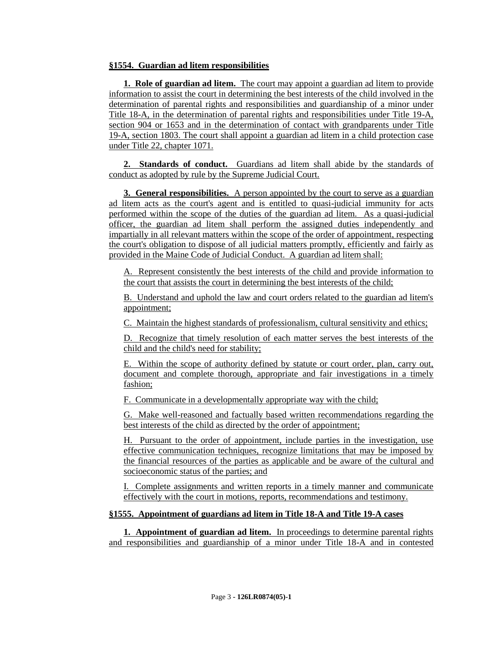### **§1554. Guardian ad litem responsibilities**

**1. Role of guardian ad litem.** The court may appoint a guardian ad litem to provide information to assist the court in determining the best interests of the child involved in the determination of parental rights and responsibilities and guardianship of a minor under Title 18-A, in the determination of parental rights and responsibilities under Title 19-A, section 904 or 1653 and in the determination of contact with grandparents under Title 19-A, section 1803. The court shall appoint a guardian ad litem in a child protection case under Title 22, chapter 1071.

**2. Standards of conduct.** Guardians ad litem shall abide by the standards of conduct as adopted by rule by the Supreme Judicial Court.

**3. General responsibilities.** A person appointed by the court to serve as a guardian ad litem acts as the court's agent and is entitled to quasi-judicial immunity for acts performed within the scope of the duties of the guardian ad litem. As a quasi-judicial officer, the guardian ad litem shall perform the assigned duties independently and impartially in all relevant matters within the scope of the order of appointment, respecting the court's obligation to dispose of all judicial matters promptly, efficiently and fairly as provided in the Maine Code of Judicial Conduct. A guardian ad litem shall:

A. Represent consistently the best interests of the child and provide information to the court that assists the court in determining the best interests of the child;

B. Understand and uphold the law and court orders related to the guardian ad litem's appointment;

C. Maintain the highest standards of professionalism, cultural sensitivity and ethics;

D. Recognize that timely resolution of each matter serves the best interests of the child and the child's need for stability;

E. Within the scope of authority defined by statute or court order, plan, carry out, document and complete thorough, appropriate and fair investigations in a timely fashion;

F. Communicate in a developmentally appropriate way with the child;

G. Make well-reasoned and factually based written recommendations regarding the best interests of the child as directed by the order of appointment;

H. Pursuant to the order of appointment, include parties in the investigation, use effective communication techniques, recognize limitations that may be imposed by the financial resources of the parties as applicable and be aware of the cultural and socioeconomic status of the parties; and

I. Complete assignments and written reports in a timely manner and communicate effectively with the court in motions, reports, recommendations and testimony.

### **§1555. Appointment of guardians ad litem in Title 18-A and Title 19-A cases**

**1. Appointment of guardian ad litem.** In proceedings to determine parental rights and responsibilities and guardianship of a minor under Title 18-A and in contested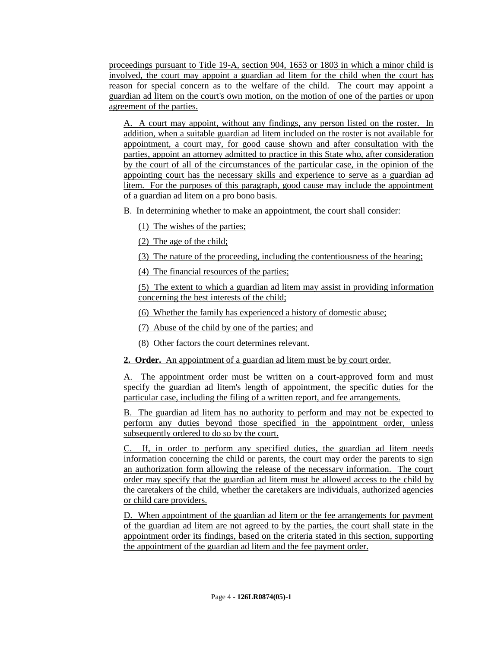proceedings pursuant to Title 19-A, section 904, 1653 or 1803 in which a minor child is involved, the court may appoint a guardian ad litem for the child when the court has reason for special concern as to the welfare of the child. The court may appoint a guardian ad litem on the court's own motion, on the motion of one of the parties or upon agreement of the parties.

A. A court may appoint, without any findings, any person listed on the roster. In addition, when a suitable guardian ad litem included on the roster is not available for appointment, a court may, for good cause shown and after consultation with the parties, appoint an attorney admitted to practice in this State who, after consideration by the court of all of the circumstances of the particular case, in the opinion of the appointing court has the necessary skills and experience to serve as a guardian ad litem. For the purposes of this paragraph, good cause may include the appointment of a guardian ad litem on a pro bono basis.

B. In determining whether to make an appointment, the court shall consider:

(1) The wishes of the parties;

(2) The age of the child;

(3) The nature of the proceeding, including the contentiousness of the hearing;

(4) The financial resources of the parties;

(5) The extent to which a guardian ad litem may assist in providing information concerning the best interests of the child;

(6) Whether the family has experienced a history of domestic abuse;

(7) Abuse of the child by one of the parties; and

(8) Other factors the court determines relevant.

**2. Order.** An appointment of a guardian ad litem must be by court order.

A. The appointment order must be written on a court-approved form and must specify the guardian ad litem's length of appointment, the specific duties for the particular case, including the filing of a written report, and fee arrangements.

B. The guardian ad litem has no authority to perform and may not be expected to perform any duties beyond those specified in the appointment order, unless subsequently ordered to do so by the court.

C. If, in order to perform any specified duties, the guardian ad litem needs information concerning the child or parents, the court may order the parents to sign an authorization form allowing the release of the necessary information. The court order may specify that the guardian ad litem must be allowed access to the child by the caretakers of the child, whether the caretakers are individuals, authorized agencies or child care providers.

D. When appointment of the guardian ad litem or the fee arrangements for payment of the guardian ad litem are not agreed to by the parties, the court shall state in the appointment order its findings, based on the criteria stated in this section, supporting the appointment of the guardian ad litem and the fee payment order.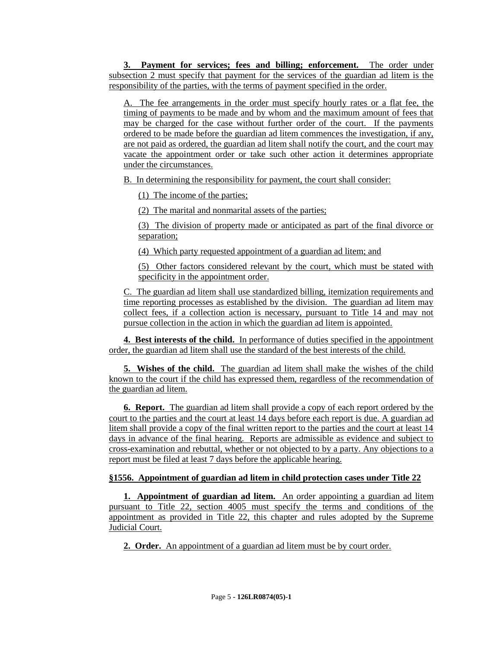**3. Payment for services; fees and billing; enforcement.** The order under subsection 2 must specify that payment for the services of the guardian ad litem is the responsibility of the parties, with the terms of payment specified in the order.

A. The fee arrangements in the order must specify hourly rates or a flat fee, the timing of payments to be made and by whom and the maximum amount of fees that may be charged for the case without further order of the court. If the payments ordered to be made before the guardian ad litem commences the investigation, if any, are not paid as ordered, the guardian ad litem shall notify the court, and the court may vacate the appointment order or take such other action it determines appropriate under the circumstances.

B. In determining the responsibility for payment, the court shall consider:

(1) The income of the parties;

(2) The marital and nonmarital assets of the parties;

(3) The division of property made or anticipated as part of the final divorce or separation;

(4) Which party requested appointment of a guardian ad litem; and

(5) Other factors considered relevant by the court, which must be stated with specificity in the appointment order.

C. The guardian ad litem shall use standardized billing, itemization requirements and time reporting processes as established by the division. The guardian ad litem may collect fees, if a collection action is necessary, pursuant to Title 14 and may not pursue collection in the action in which the guardian ad litem is appointed.

**4. Best interests of the child.** In performance of duties specified in the appointment order, the guardian ad litem shall use the standard of the best interests of the child.

**5. Wishes of the child.** The guardian ad litem shall make the wishes of the child known to the court if the child has expressed them, regardless of the recommendation of the guardian ad litem.

**6. Report.** The guardian ad litem shall provide a copy of each report ordered by the court to the parties and the court at least 14 days before each report is due. A guardian ad litem shall provide a copy of the final written report to the parties and the court at least 14 days in advance of the final hearing. Reports are admissible as evidence and subject to cross-examination and rebuttal, whether or not objected to by a party. Any objections to a report must be filed at least 7 days before the applicable hearing.

# **§1556. Appointment of guardian ad litem in child protection cases under Title 22**

**1. Appointment of guardian ad litem.** An order appointing a guardian ad litem pursuant to Title 22, section 4005 must specify the terms and conditions of the appointment as provided in Title 22, this chapter and rules adopted by the Supreme Judicial Court.

**2. Order.** An appointment of a guardian ad litem must be by court order.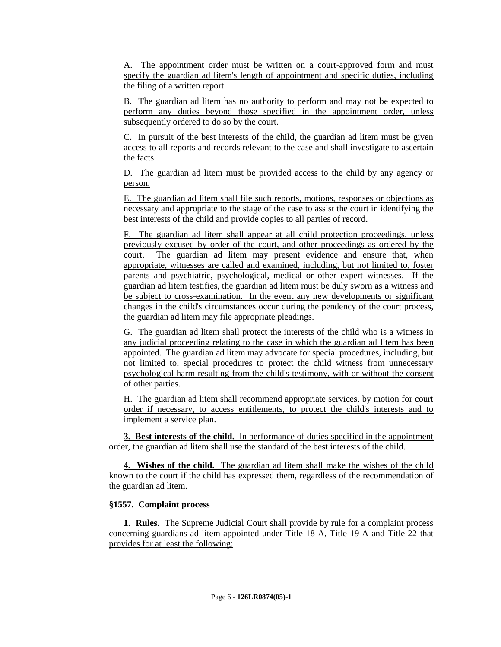A. The appointment order must be written on a court-approved form and must specify the guardian ad litem's length of appointment and specific duties, including the filing of a written report.

B. The guardian ad litem has no authority to perform and may not be expected to perform any duties beyond those specified in the appointment order, unless subsequently ordered to do so by the court.

C. In pursuit of the best interests of the child, the guardian ad litem must be given access to all reports and records relevant to the case and shall investigate to ascertain the facts.

D. The guardian ad litem must be provided access to the child by any agency or person.

E. The guardian ad litem shall file such reports, motions, responses or objections as necessary and appropriate to the stage of the case to assist the court in identifying the best interests of the child and provide copies to all parties of record.

F. The guardian ad litem shall appear at all child protection proceedings, unless previously excused by order of the court, and other proceedings as ordered by the court. The guardian ad litem may present evidence and ensure that, when appropriate, witnesses are called and examined, including, but not limited to, foster parents and psychiatric, psychological, medical or other expert witnesses. If the guardian ad litem testifies, the guardian ad litem must be duly sworn as a witness and be subject to cross-examination. In the event any new developments or significant changes in the child's circumstances occur during the pendency of the court process, the guardian ad litem may file appropriate pleadings.

G. The guardian ad litem shall protect the interests of the child who is a witness in any judicial proceeding relating to the case in which the guardian ad litem has been appointed. The guardian ad litem may advocate for special procedures, including, but not limited to, special procedures to protect the child witness from unnecessary psychological harm resulting from the child's testimony, with or without the consent of other parties.

H. The guardian ad litem shall recommend appropriate services, by motion for court order if necessary, to access entitlements, to protect the child's interests and to implement a service plan.

**3. Best interests of the child.** In performance of duties specified in the appointment order, the guardian ad litem shall use the standard of the best interests of the child.

**4. Wishes of the child.** The guardian ad litem shall make the wishes of the child known to the court if the child has expressed them, regardless of the recommendation of the guardian ad litem.

### **§1557. Complaint process**

**1. Rules.** The Supreme Judicial Court shall provide by rule for a complaint process concerning guardians ad litem appointed under Title 18-A, Title 19-A and Title 22 that provides for at least the following: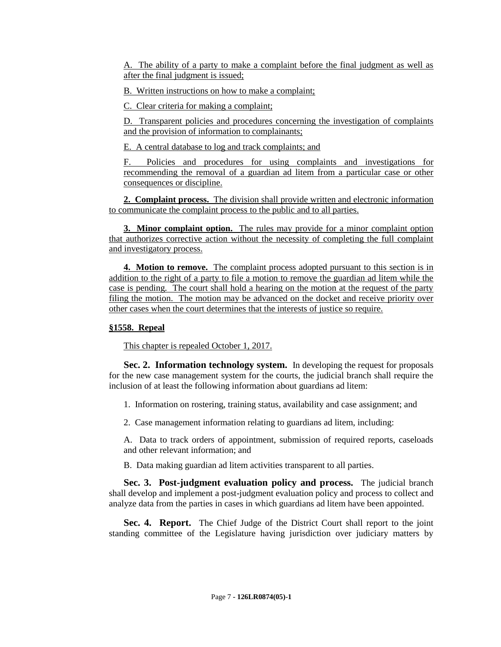A. The ability of a party to make a complaint before the final judgment as well as after the final judgment is issued;

B. Written instructions on how to make a complaint;

C. Clear criteria for making a complaint;

D. Transparent policies and procedures concerning the investigation of complaints and the provision of information to complainants;

E. A central database to log and track complaints; and

F. Policies and procedures for using complaints and investigations for recommending the removal of a guardian ad litem from a particular case or other consequences or discipline.

**2. Complaint process.** The division shall provide written and electronic information to communicate the complaint process to the public and to all parties.

**3. Minor complaint option.** The rules may provide for a minor complaint option that authorizes corrective action without the necessity of completing the full complaint and investigatory process.

**4. Motion to remove.** The complaint process adopted pursuant to this section is in addition to the right of a party to file a motion to remove the guardian ad litem while the case is pending. The court shall hold a hearing on the motion at the request of the party filing the motion. The motion may be advanced on the docket and receive priority over other cases when the court determines that the interests of justice so require.

### **§1558. Repeal**

This chapter is repealed October 1, 2017.

**Sec. 2. Information technology system.** In developing the request for proposals for the new case management system for the courts, the judicial branch shall require the inclusion of at least the following information about guardians ad litem:

1. Information on rostering, training status, availability and case assignment; and

2. Case management information relating to guardians ad litem, including:

A. Data to track orders of appointment, submission of required reports, caseloads and other relevant information; and

B. Data making guardian ad litem activities transparent to all parties.

**Sec. 3. Post-judgment evaluation policy and process.** The judicial branch shall develop and implement a post-judgment evaluation policy and process to collect and analyze data from the parties in cases in which guardians ad litem have been appointed.

**Sec. 4. Report.** The Chief Judge of the District Court shall report to the joint standing committee of the Legislature having jurisdiction over judiciary matters by